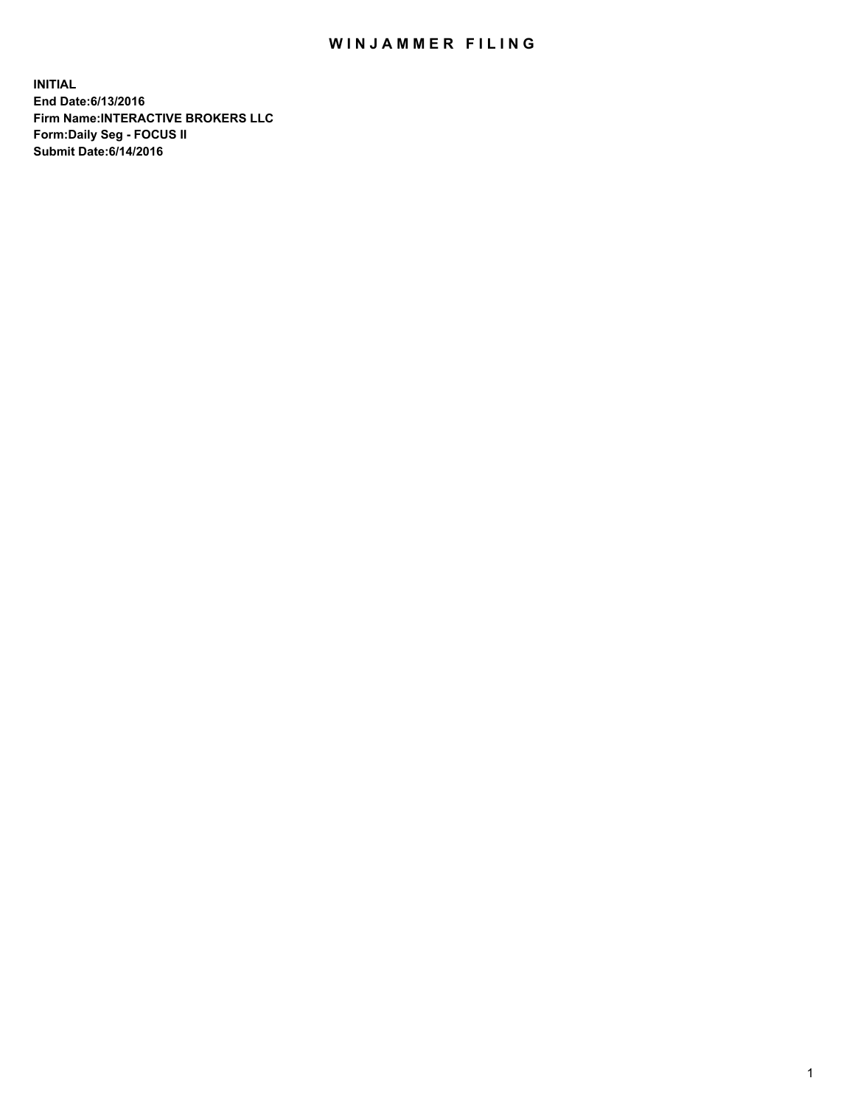## WIN JAMMER FILING

**INITIAL End Date:6/13/2016 Firm Name:INTERACTIVE BROKERS LLC Form:Daily Seg - FOCUS II Submit Date:6/14/2016**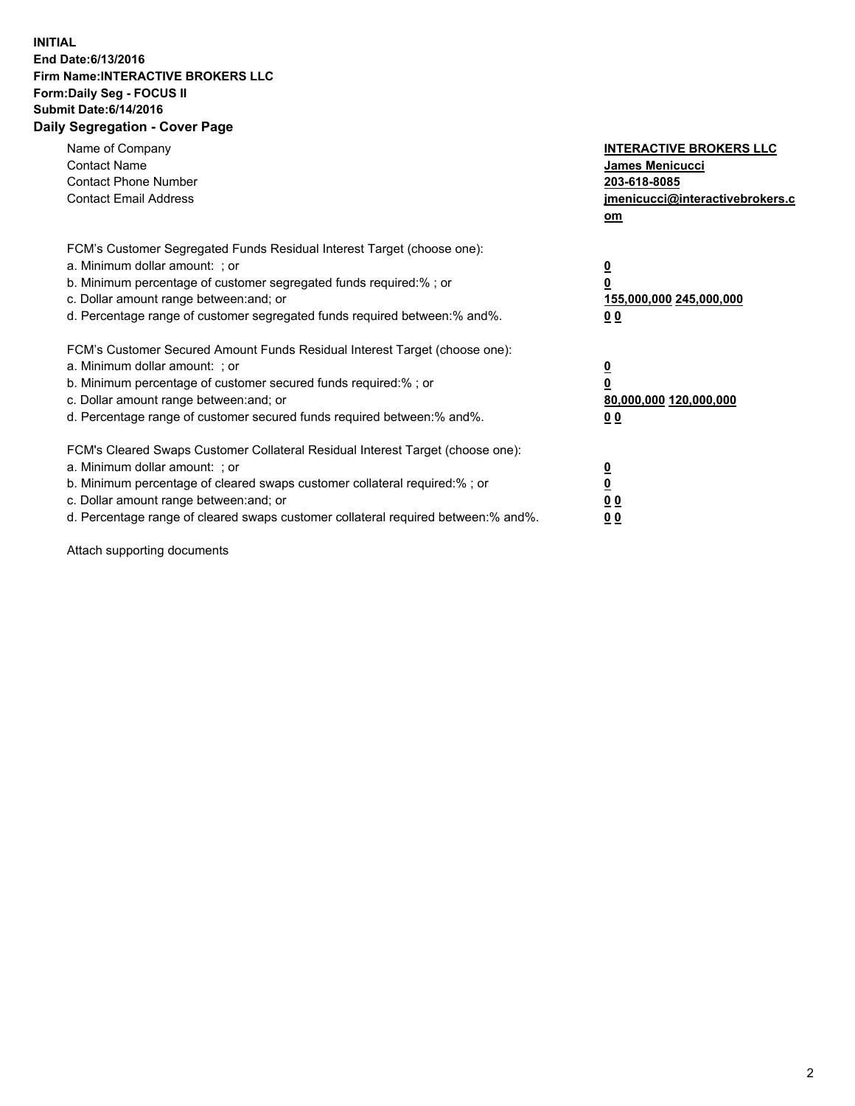## **INITIAL End Date:6/13/2016 Firm Name:INTERACTIVE BROKERS LLC Form:Daily Seg - FOCUS II Submit Date:6/14/2016 Daily Segregation - Cover Page**

| Name of Company<br><b>Contact Name</b><br><b>Contact Phone Number</b><br><b>Contact Email Address</b>                                                                                                                                                                                                                          | <b>INTERACTIVE BROKERS LLC</b><br><b>James Menicucci</b><br>203-618-8085<br>jmenicucci@interactivebrokers.c<br>om |
|--------------------------------------------------------------------------------------------------------------------------------------------------------------------------------------------------------------------------------------------------------------------------------------------------------------------------------|-------------------------------------------------------------------------------------------------------------------|
| FCM's Customer Segregated Funds Residual Interest Target (choose one):<br>a. Minimum dollar amount: ; or<br>b. Minimum percentage of customer segregated funds required:% ; or<br>c. Dollar amount range between: and; or<br>d. Percentage range of customer segregated funds required between: % and %.                       | $\overline{\mathbf{0}}$<br>0<br>155,000,000 245,000,000<br>00                                                     |
| FCM's Customer Secured Amount Funds Residual Interest Target (choose one):<br>a. Minimum dollar amount: ; or<br>b. Minimum percentage of customer secured funds required:%; or<br>c. Dollar amount range between: and; or<br>d. Percentage range of customer secured funds required between: % and %.                          | $\overline{\mathbf{0}}$<br>0<br>80,000,000 120,000,000<br>0 <sub>0</sub>                                          |
| FCM's Cleared Swaps Customer Collateral Residual Interest Target (choose one):<br>a. Minimum dollar amount: ; or<br>b. Minimum percentage of cleared swaps customer collateral required:% ; or<br>c. Dollar amount range between: and; or<br>d. Percentage range of cleared swaps customer collateral required between:% and%. | $\overline{\mathbf{0}}$<br>$\underline{\mathbf{0}}$<br>0 <sub>0</sub><br>0 <sub>0</sub>                           |

Attach supporting documents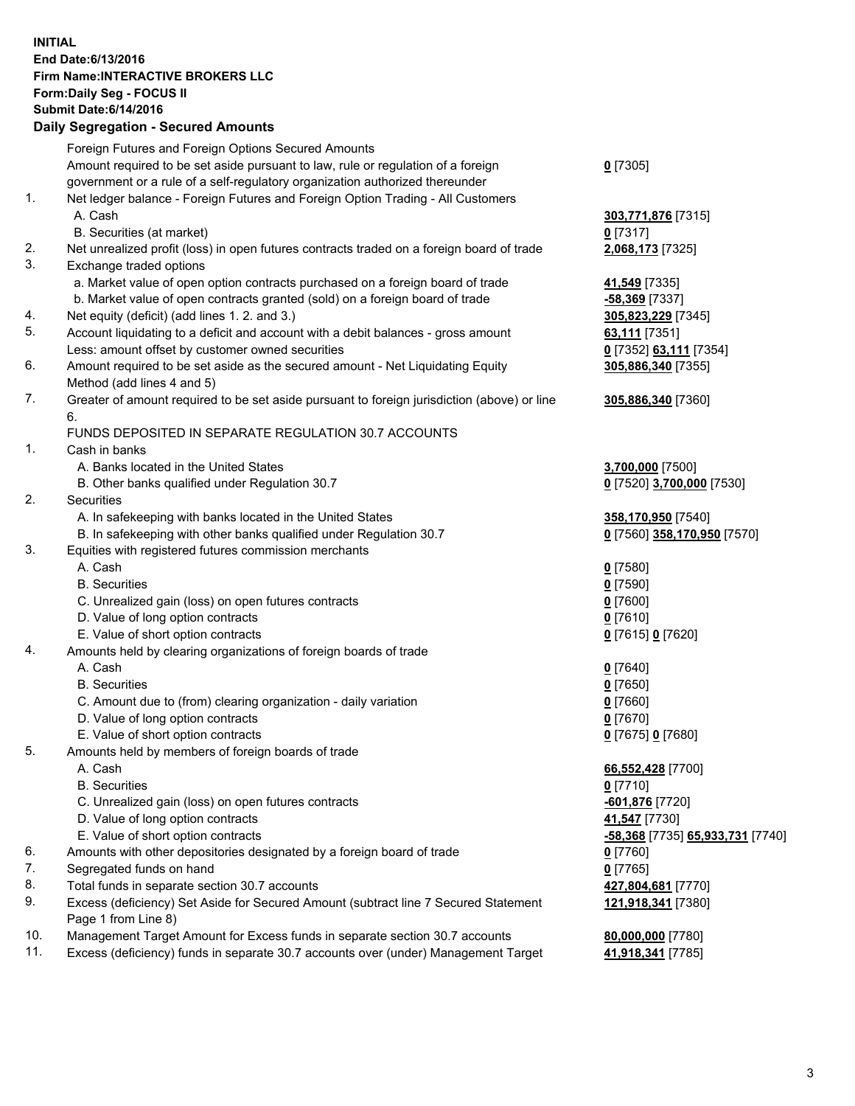## **INITIAL End Date:6/13/2016 Firm Name:INTERACTIVE BROKERS LLC Form:Daily Seg - FOCUS II Submit Date:6/14/2016 Daily Segregation - Secured Amounts**

|     | Daily Jegregation - Jeculed Aniounts                                                                                                 |                                  |
|-----|--------------------------------------------------------------------------------------------------------------------------------------|----------------------------------|
|     | Foreign Futures and Foreign Options Secured Amounts                                                                                  |                                  |
|     | Amount required to be set aside pursuant to law, rule or regulation of a foreign                                                     | $0$ [7305]                       |
|     | government or a rule of a self-regulatory organization authorized thereunder                                                         |                                  |
| 1.  | Net ledger balance - Foreign Futures and Foreign Option Trading - All Customers                                                      |                                  |
|     | A. Cash                                                                                                                              | 303,771,876 [7315]               |
|     | B. Securities (at market)                                                                                                            | 0 [7317]                         |
| 2.  | Net unrealized profit (loss) in open futures contracts traded on a foreign board of trade                                            | 2,068,173 [7325]                 |
| 3.  | Exchange traded options                                                                                                              |                                  |
|     | a. Market value of open option contracts purchased on a foreign board of trade                                                       | 41,549 [7335]                    |
|     | b. Market value of open contracts granted (sold) on a foreign board of trade                                                         | $-58,369$ [7337]                 |
| 4.  | Net equity (deficit) (add lines 1.2. and 3.)                                                                                         | 305,823,229 [7345]               |
| 5.  | Account liquidating to a deficit and account with a debit balances - gross amount                                                    | 63,111 [7351]                    |
|     | Less: amount offset by customer owned securities                                                                                     | 0 [7352] 63,111 [7354]           |
| 6.  | Amount required to be set aside as the secured amount - Net Liquidating Equity                                                       | 305,886,340 [7355]               |
|     | Method (add lines 4 and 5)                                                                                                           |                                  |
| 7.  | Greater of amount required to be set aside pursuant to foreign jurisdiction (above) or line                                          | 305,886,340 [7360]               |
|     | 6.                                                                                                                                   |                                  |
|     | FUNDS DEPOSITED IN SEPARATE REGULATION 30.7 ACCOUNTS                                                                                 |                                  |
| 1.  | Cash in banks                                                                                                                        |                                  |
|     | A. Banks located in the United States                                                                                                | 3,700,000 [7500]                 |
|     | B. Other banks qualified under Regulation 30.7                                                                                       | 0 [7520] 3,700,000 [7530]        |
| 2.  | Securities                                                                                                                           |                                  |
|     | A. In safekeeping with banks located in the United States                                                                            | 358,170,950 [7540]               |
|     | B. In safekeeping with other banks qualified under Regulation 30.7                                                                   | 0 [7560] 358,170,950 [7570]      |
| 3.  | Equities with registered futures commission merchants                                                                                |                                  |
|     | A. Cash                                                                                                                              | $0$ [7580]                       |
|     | <b>B.</b> Securities                                                                                                                 | $0$ [7590]                       |
|     | C. Unrealized gain (loss) on open futures contracts                                                                                  | $0$ [7600]                       |
|     | D. Value of long option contracts                                                                                                    | $0$ [7610]                       |
|     | E. Value of short option contracts                                                                                                   | 0 [7615] 0 [7620]                |
| 4.  | Amounts held by clearing organizations of foreign boards of trade                                                                    |                                  |
|     | A. Cash                                                                                                                              | $0$ [7640]                       |
|     | <b>B.</b> Securities                                                                                                                 | $0$ [7650]                       |
|     | C. Amount due to (from) clearing organization - daily variation                                                                      | $0$ [7660]                       |
|     | D. Value of long option contracts                                                                                                    | $0$ [7670]                       |
|     | E. Value of short option contracts                                                                                                   | 0 [7675] 0 [7680]                |
| 5.  | Amounts held by members of foreign boards of trade                                                                                   |                                  |
|     | A. Cash                                                                                                                              | 66,552,428 [7700]                |
|     | <b>B.</b> Securities                                                                                                                 | $0$ [7710]                       |
|     | C. Unrealized gain (loss) on open futures contracts                                                                                  | -601,876 [7720]                  |
|     | D. Value of long option contracts                                                                                                    | 41,547 [7730]                    |
| 6.  | E. Value of short option contracts<br>Amounts with other depositories designated by a foreign board of trade                         | -58,368 [7735] 65,933,731 [7740] |
| 7.  |                                                                                                                                      | 0 [7760]                         |
| 8.  | Segregated funds on hand                                                                                                             | $0$ [7765]                       |
| 9.  | Total funds in separate section 30.7 accounts<br>Excess (deficiency) Set Aside for Secured Amount (subtract line 7 Secured Statement | 427,804,681 [7770]               |
|     | Page 1 from Line 8)                                                                                                                  | 121,918,341 [7380]               |
| 10. | Management Target Amount for Excess funds in separate section 30.7 accounts                                                          | 80,000,000 [7780]                |
| 11. | Excess (deficiency) funds in separate 30.7 accounts over (under) Management Target                                                   | 41,918,341 [7785]                |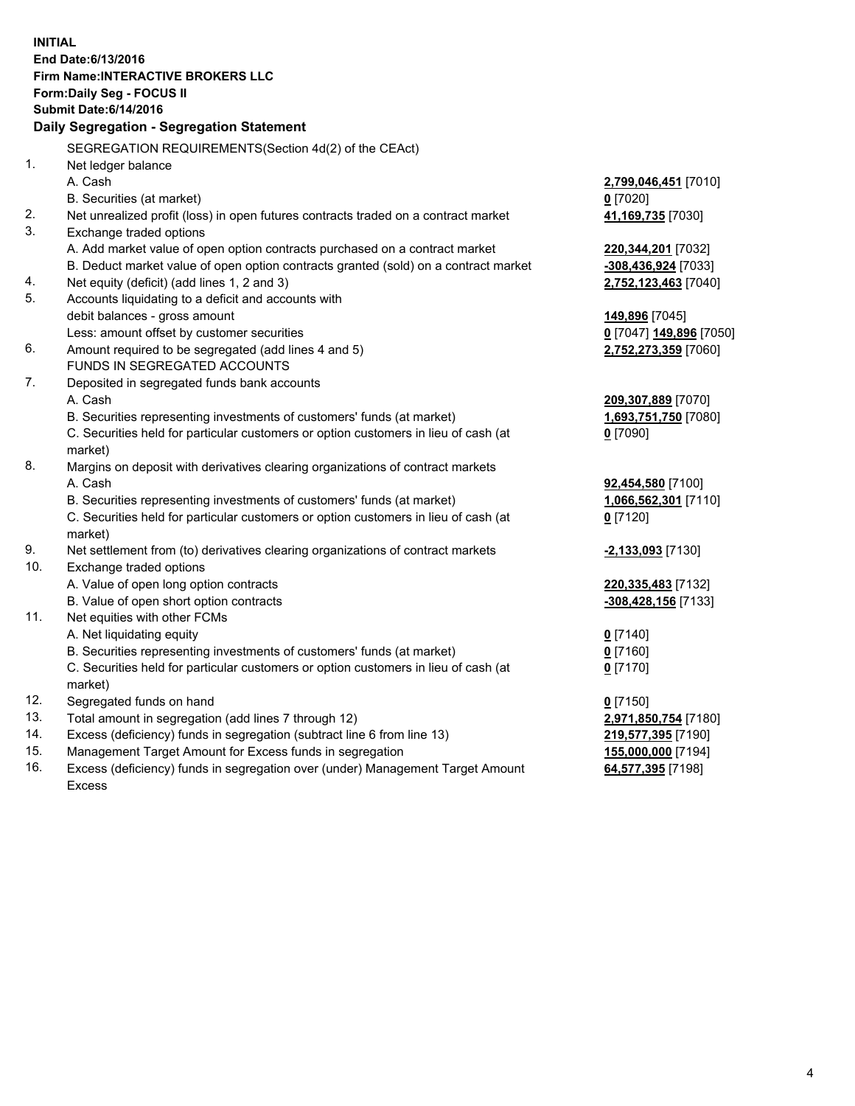**INITIAL End Date:6/13/2016 Firm Name:INTERACTIVE BROKERS LLC Form:Daily Seg - FOCUS II Submit Date:6/14/2016 Daily Segregation - Segregation Statement** SEGREGATION REQUIREMENTS(Section 4d(2) of the CEAct) 1. Net ledger balance A. Cash **2,799,046,451** [7010] B. Securities (at market) **0** [7020] 2. Net unrealized profit (loss) in open futures contracts traded on a contract market **41,169,735** [7030] 3. Exchange traded options A. Add market value of open option contracts purchased on a contract market **220,344,201** [7032] B. Deduct market value of open option contracts granted (sold) on a contract market **-308,436,924** [7033] 4. Net equity (deficit) (add lines 1, 2 and 3) **2,752,123,463** [7040] 5. Accounts liquidating to a deficit and accounts with debit balances - gross amount **149,896** [7045] Less: amount offset by customer securities **0** [7047] **149,896** [7050] 6. Amount required to be segregated (add lines 4 and 5) **2,752,273,359** [7060] FUNDS IN SEGREGATED ACCOUNTS 7. Deposited in segregated funds bank accounts A. Cash **209,307,889** [7070] B. Securities representing investments of customers' funds (at market) **1,693,751,750** [7080] C. Securities held for particular customers or option customers in lieu of cash (at market) **0** [7090] 8. Margins on deposit with derivatives clearing organizations of contract markets A. Cash **92,454,580** [7100] B. Securities representing investments of customers' funds (at market) **1,066,562,301** [7110] C. Securities held for particular customers or option customers in lieu of cash (at market) **0** [7120] 9. Net settlement from (to) derivatives clearing organizations of contract markets **-2,133,093** [7130] 10. Exchange traded options A. Value of open long option contracts **220,335,483** [7132] B. Value of open short option contracts **-308,428,156** [7133] 11. Net equities with other FCMs A. Net liquidating equity **0** [7140] B. Securities representing investments of customers' funds (at market) **0** [7160] C. Securities held for particular customers or option customers in lieu of cash (at market) **0** [7170] 12. Segregated funds on hand **0** [7150] 13. Total amount in segregation (add lines 7 through 12) **2,971,850,754** [7180] 14. Excess (deficiency) funds in segregation (subtract line 6 from line 13) **219,577,395** [7190] 15. Management Target Amount for Excess funds in segregation **155,000,000** [7194] **64,577,395** [7198]

16. Excess (deficiency) funds in segregation over (under) Management Target Amount Excess